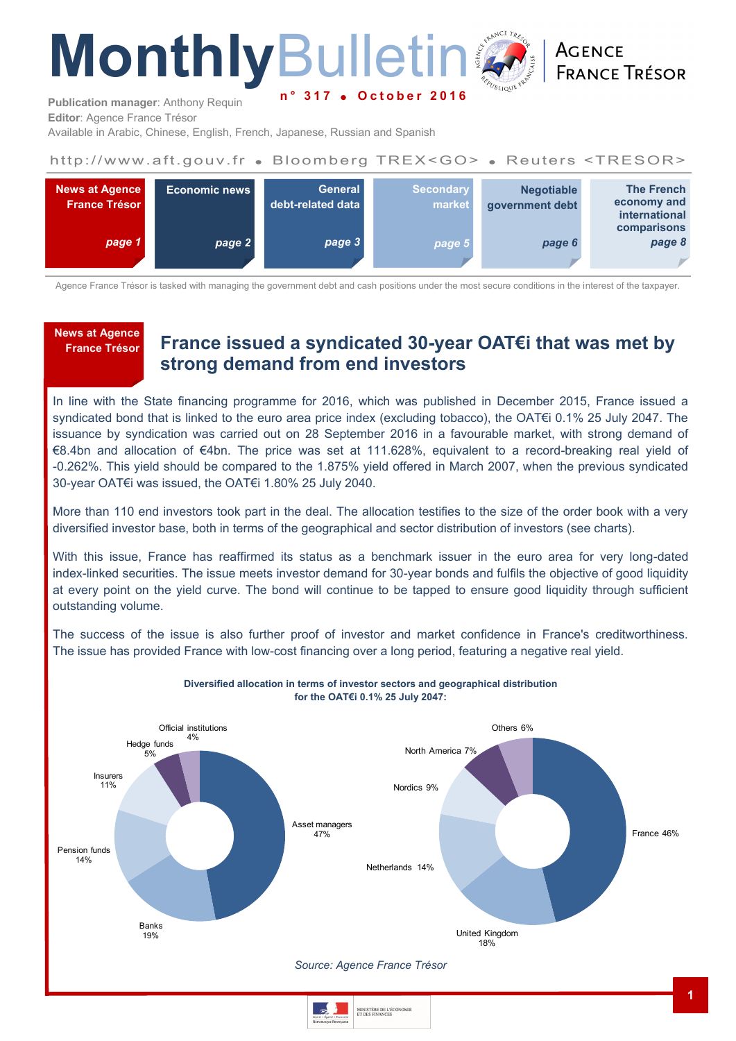# **MonthlyBulleting n ° 3 1 7 O c t o b e r 2 0 1 6**

ACENCE **FRANCE TRÉSOR** 

**Publication manager**: Anthony Requin **Editor**: Agence France Trésor

Available in Arabic, Chinese, English, French, Japanese, Russian and Spanish

## http://www.aft.gouv.fr . Bloomberg TREX<GO> . Reuters <TRESOR>



Agence France Trésor is tasked with managing the government debt and cash positions under the most secure conditions in the interest of the taxpayer.

## **News at Agence**

## **France Trésor France issued a syndicated 30-year OAT€i that was met by strong demand from end investors**

In line with the State financing programme for 2016, which was published in December 2015, France issued a syndicated bond that is linked to the euro area price index (excluding tobacco), the OAT€i 0.1% 25 July 2047. The issuance by syndication was carried out on 28 September 2016 in a favourable market, with strong demand of €8.4bn and allocation of €4bn. The price was set at 111.628%, equivalent to a record-breaking real yield of -0.262%. This yield should be compared to the 1.875% yield offered in March 2007, when the previous syndicated 30-year OAT€i was issued, the OAT€i 1.80% 25 July 2040.

More than 110 end investors took part in the deal. The allocation testifies to the size of the order book with a very diversified investor base, both in terms of the geographical and sector distribution of investors (see charts).

With this issue, France has reaffirmed its status as a benchmark issuer in the euro area for very long-dated index-linked securities. The issue meets investor demand for 30-year bonds and fulfils the objective of good liquidity at every point on the yield curve. The bond will continue to be tapped to ensure good liquidity through sufficient outstanding volume.

The success of the issue is also further proof of investor and market confidence in France's creditworthiness. The issue has provided France with low-cost financing over a long period, featuring a negative real yield.



**Diversified allocation in terms of investor sectors and geographical distribution** 

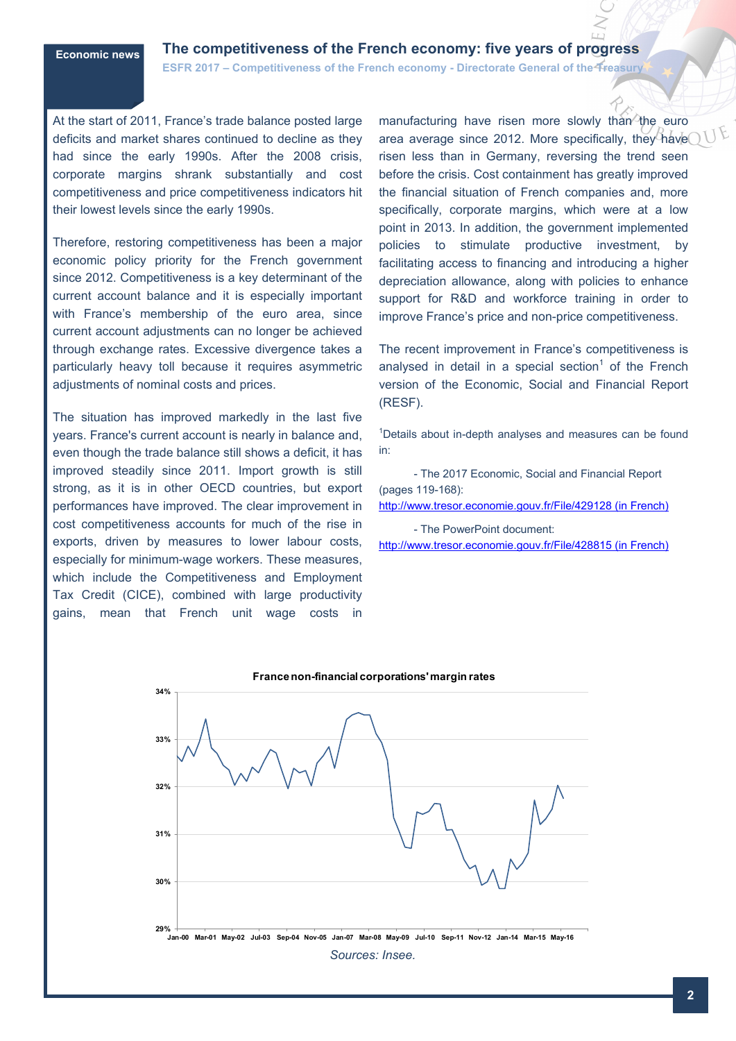## **Economic news The competitiveness of the French economy: five years of progress**

**ESFR 2017 – Competitiveness of the French economy - Directorate General of the Treasury** 

At the start of 2011, France's trade balance posted large deficits and market shares continued to decline as they had since the early 1990s. After the 2008 crisis, corporate margins shrank substantially and cost competitiveness and price competitiveness indicators hit their lowest levels since the early 1990s.

Therefore, restoring competitiveness has been a major economic policy priority for the French government since 2012. Competitiveness is a key determinant of the current account balance and it is especially important with France's membership of the euro area, since current account adjustments can no longer be achieved through exchange rates. Excessive divergence takes a particularly heavy toll because it requires asymmetric adjustments of nominal costs and prices.

The situation has improved markedly in the last five years. France's current account is nearly in balance and, even though the trade balance still shows a deficit, it has improved steadily since 2011. Import growth is still strong, as it is in other OECD countries, but export performances have improved. The clear improvement in cost competitiveness accounts for much of the rise in exports, driven by measures to lower labour costs, especially for minimum-wage workers. These measures, which include the Competitiveness and Employment Tax Credit (CICE), combined with large productivity gains, mean that French unit wage costs in

manufacturing have risen more slowly than the euro area average since 2012. More specifically, they have risen less than in Germany, reversing the trend seen before the crisis. Cost containment has greatly improved the financial situation of French companies and, more specifically, corporate margins, which were at a low point in 2013. In addition, the government implemented policies to stimulate productive investment, by facilitating access to financing and introducing a higher depreciation allowance, along with policies to enhance support for R&D and workforce training in order to improve France's price and non-price competitiveness.

The recent improvement in France's competitiveness is analysed in detail in a special section<sup>1</sup> of the French version of the Economic, Social and Financial Report (RESF).

<sup>1</sup>Details about in-depth analyses and measures can be found in:

- The 2017 Economic, Social and Financial Report (pages 119-168):

[http://www.tresor.economie.gouv.fr/File/429128 \(in French\)](http://www.tresor.economie.gouv.fr/File/429128%20(in%20French))

- The PowerPoint document:

[http://www.tresor.economie.gouv.fr/File/428815 \(in French\)](http://www.tresor.economie.gouv.fr/File/428815%20(in%20French))

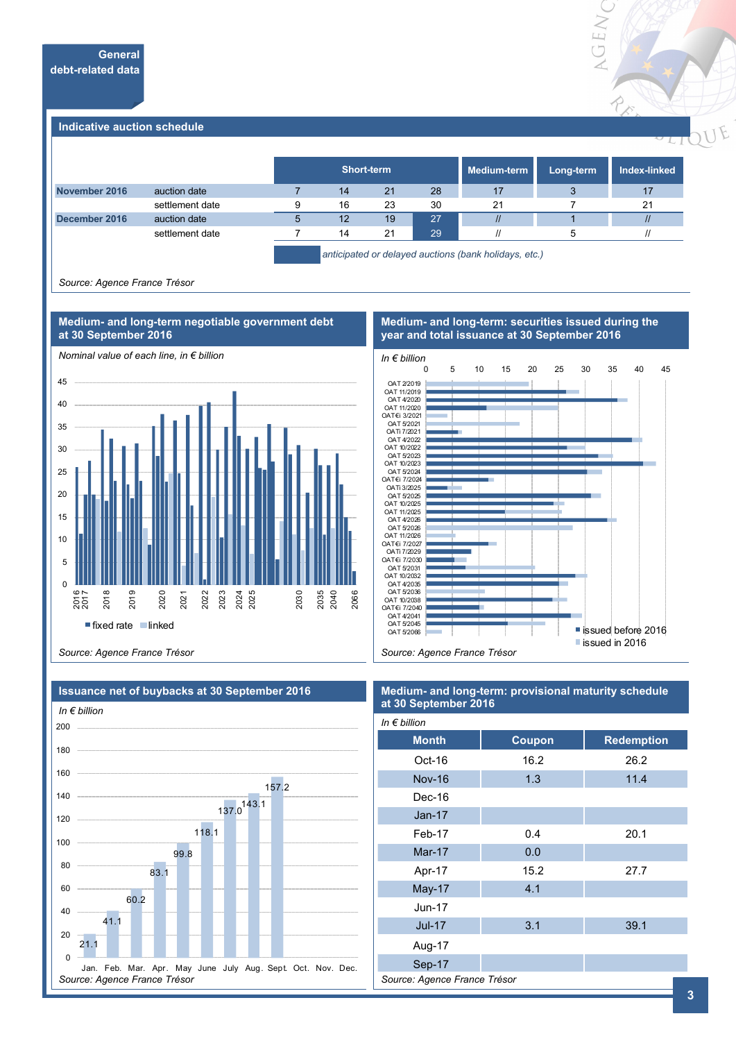

#### **Indicative auction schedule**

|               |                 |   | <b>Short-term</b>                                     |    |    | Medium-term | Long-term | Index-linked      |
|---------------|-----------------|---|-------------------------------------------------------|----|----|-------------|-----------|-------------------|
| November 2016 | auction date    |   | 14                                                    | 21 | 28 | 17          |           | 17                |
|               | settlement date | 9 | 16                                                    | 23 | 30 | 21          |           | 21                |
| December 2016 | auction date    |   | 12                                                    | 19 | 27 | $\prime$    |           | $\mathcal{U}$     |
|               | settlement date |   | 14                                                    | 21 | 29 |             |           | $^{\prime\prime}$ |
|               |                 |   | anticipated or delayed auctions (bank holidays, etc.) |    |    |             |           |                   |

*Source: Agence France Trésor*



#### **Medium- and long-term: securities issued during the Medium- and long-term negotiable government debt**

**year and total issuance at 30 September 2016** *In € billion* 0 5 10 15 20 25 30 35 40 45



*Source: Agence France Trésor*



#### **Medium- and long-term: provisional maturity schedule at 30 September 2016**

| In $\epsilon$ billion        |               |                   |  |  |  |  |
|------------------------------|---------------|-------------------|--|--|--|--|
| <b>Month</b>                 | <b>Coupon</b> | <b>Redemption</b> |  |  |  |  |
| Oct-16                       | 16.2          | 26.2              |  |  |  |  |
| <b>Nov-16</b>                | 1.3           | 11.4              |  |  |  |  |
| Dec-16                       |               |                   |  |  |  |  |
| $Jan-17$                     |               |                   |  |  |  |  |
| Feb-17                       | 0.4           | 20.1              |  |  |  |  |
| <b>Mar-17</b>                | 0.0           |                   |  |  |  |  |
| Apr-17                       | 15.2          | 27.7              |  |  |  |  |
| <b>May-17</b>                | 4.1           |                   |  |  |  |  |
| $Jun-17$                     |               |                   |  |  |  |  |
| <b>Jul-17</b>                | 3.1           | 39.1              |  |  |  |  |
| Aug-17                       |               |                   |  |  |  |  |
| Sep-17                       |               |                   |  |  |  |  |
| Source: Agence France Trésor |               |                   |  |  |  |  |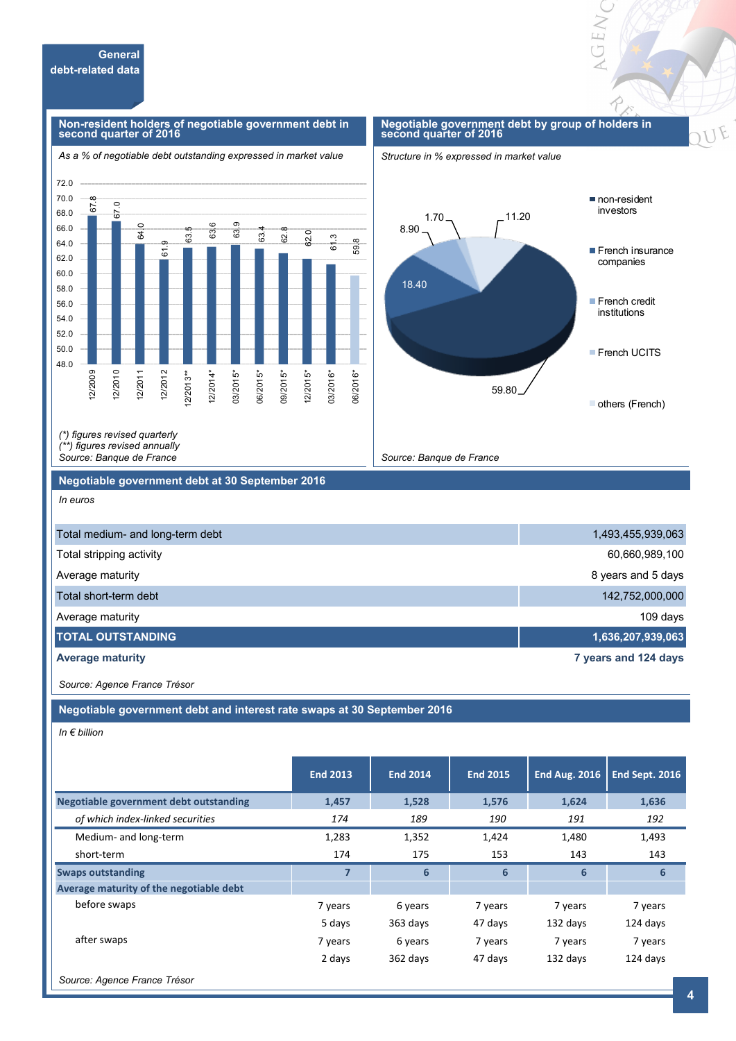67.8 67.0

64.0

61

63.5

63.6 63.9

63.4

#### **Non-resident holders of negotiable government debt in second quarter of 2016**



#### **Negotiable government debt by group of holders in second quarter of 2016**

OEN





*(\*) figures revised quarterly (\*\*) figures revised annually* 

*Source: Banque de France*

#### **Negotiable government debt at 30 September 2016**

*In euros*

48.0 50.0 52.0 54.0 56.0 58.0 60.0 62.0 64.0 66.0 68.0 70.0 72.0

12/2009 12/2010 12/2011 12/2012 12/2013\*\* 12/2014\* 03/2015\* 06/2015\*

| Total medium- and long-term debt | 1,493,455,939,063    |
|----------------------------------|----------------------|
| Total stripping activity         | 60,660,989,100       |
| Average maturity                 | 8 years and 5 days   |
| Total short-term debt            | 142,752,000,000      |
| Average maturity                 | 109 days             |
| <b>ITOTAL OUTSTANDING</b>        | 1,636,207,939,063    |
| <b>Average maturity</b>          | 7 years and 124 days |

*Source: Agence France Trésor*

**Negotiable government debt and interest rate swaps at 30 September 2016**

*In € billion*

|                                         | <b>End 2013</b> | <b>End 2014</b> | <b>End 2015</b> | <b>End Aug. 2016</b> | End Sept. 2016 |
|-----------------------------------------|-----------------|-----------------|-----------------|----------------------|----------------|
| Negotiable government debt outstanding  | 1,457           | 1,528           | 1,576           | 1,624                | 1,636          |
| of which index-linked securities        | 174             | 189             | 190             | 191                  | 192            |
| Medium- and long-term                   | 1,283           | 1,352           | 1,424           | 1,480                | 1,493          |
| short-term                              | 174             | 175             | 153             | 143                  | 143            |
| <b>Swaps outstanding</b>                |                 | 6               | 6               | 6                    | 6              |
| Average maturity of the negotiable debt |                 |                 |                 |                      |                |
| before swaps                            | 7 years         | 6 years         | 7 years         | 7 years              | 7 years        |
|                                         | 5 days          | 363 days        | 47 days         | 132 days             | 124 days       |
| after swaps                             | 7 years         | 6 years         | 7 years         | 7 years              | 7 years        |
|                                         | 2 days          | 362 days        | 47 days         | 132 days             | 124 days       |
| Source: Agence France Trésor            |                 |                 |                 |                      |                |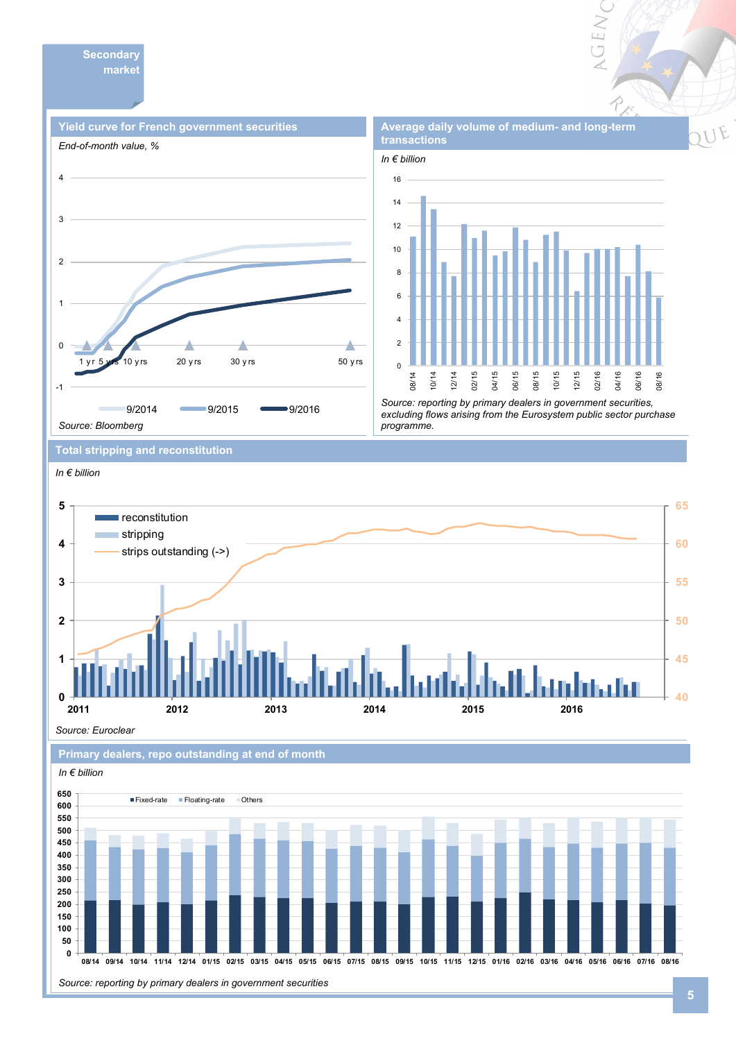**Secondary market** 





**Average daily volume of medium- and long-term** 

AGEN

*Source: reporting by primary dealers in government securities, excluding flows arising from the Eurosystem public sector purchase programme.* 

**Total stripping and reconstitution** 

#### *In € billion*



*Source: Euroclear*



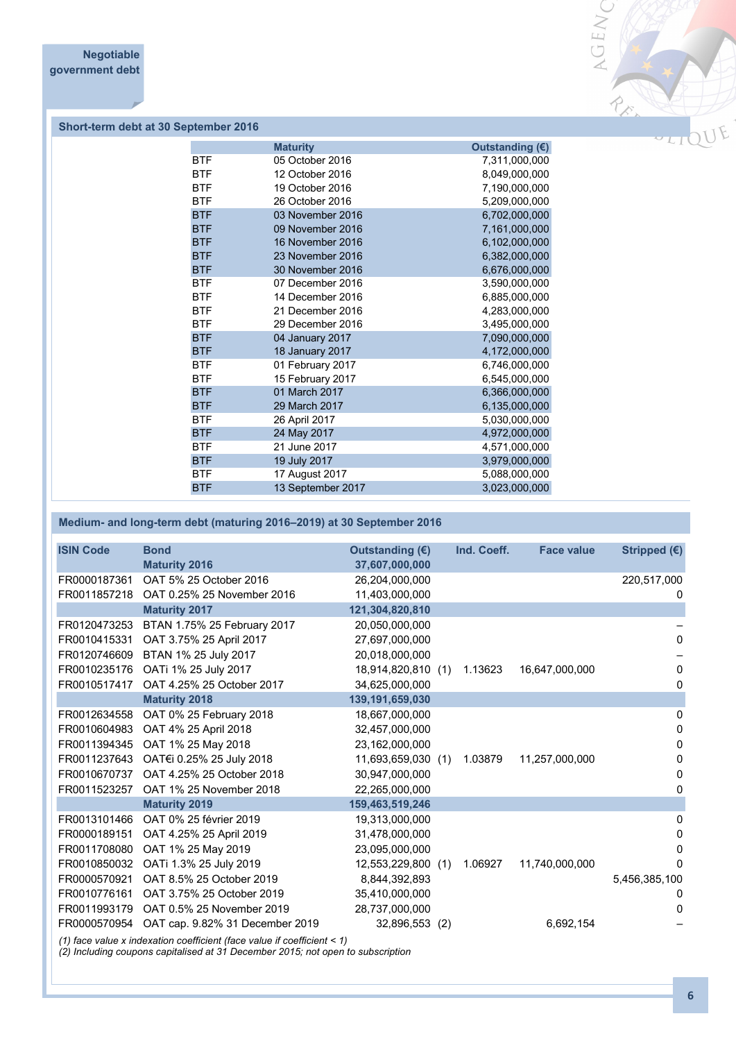

### **Short-term debt at 30 September 2016**

|            | <b>Maturity</b>   | Outstanding $(E)$ |
|------------|-------------------|-------------------|
| <b>BTF</b> | 05 October 2016   | 7,311,000,000     |
| <b>BTF</b> | 12 October 2016   | 8,049,000,000     |
| <b>BTF</b> | 19 October 2016   | 7,190,000,000     |
| <b>BTF</b> | 26 October 2016   | 5,209,000,000     |
| <b>BTF</b> | 03 November 2016  | 6,702,000,000     |
| <b>BTF</b> | 09 November 2016  | 7,161,000,000     |
| <b>BTF</b> | 16 November 2016  | 6,102,000,000     |
| <b>BTF</b> | 23 November 2016  | 6,382,000,000     |
| <b>BTF</b> | 30 November 2016  | 6,676,000,000     |
| <b>BTF</b> | 07 December 2016  | 3,590,000,000     |
| <b>BTF</b> | 14 December 2016  | 6,885,000,000     |
| <b>BTF</b> | 21 December 2016  | 4,283,000,000     |
| <b>BTF</b> | 29 December 2016  | 3,495,000,000     |
| <b>BTF</b> | 04 January 2017   | 7,090,000,000     |
| <b>BTF</b> | 18 January 2017   | 4,172,000,000     |
| <b>BTF</b> | 01 February 2017  | 6,746,000,000     |
| <b>BTF</b> | 15 February 2017  | 6,545,000,000     |
| <b>BTF</b> | 01 March 2017     | 6,366,000,000     |
| <b>BTF</b> | 29 March 2017     | 6,135,000,000     |
| <b>BTF</b> | 26 April 2017     | 5,030,000,000     |
| <b>BTF</b> | 24 May 2017       | 4,972,000,000     |
| <b>BTF</b> | 21 June 2017      | 4,571,000,000     |
| <b>BTF</b> | 19 July 2017      | 3,979,000,000     |
| <b>BTF</b> | 17 August 2017    | 5,088,000,000     |
| <b>BTF</b> | 13 September 2017 | 3,023,000,000     |
|            |                   |                   |

## **Medium- and long-term debt (maturing 2016–2019) at 30 September 2016**

| <b>ISIN Code</b> | <b>Bond</b>                                                             | Outstanding (€)    | Ind. Coeff. | <b>Face value</b> | Stripped (€)  |
|------------------|-------------------------------------------------------------------------|--------------------|-------------|-------------------|---------------|
|                  | <b>Maturity 2016</b>                                                    | 37,607,000,000     |             |                   |               |
| FR0000187361     | OAT 5% 25 October 2016                                                  | 26,204,000,000     |             |                   | 220,517,000   |
| FR0011857218     | OAT 0.25% 25 November 2016                                              | 11,403,000,000     |             |                   | 0             |
|                  | <b>Maturity 2017</b>                                                    | 121,304,820,810    |             |                   |               |
| FR0120473253     | BTAN 1.75% 25 February 2017                                             | 20,050,000,000     |             |                   |               |
| FR0010415331     | OAT 3.75% 25 April 2017                                                 | 27,697,000,000     |             |                   | 0             |
| FR0120746609     | BTAN 1% 25 July 2017                                                    | 20,018,000,000     |             |                   |               |
| FR0010235176     | OATi 1% 25 July 2017                                                    | 18,914,820,810 (1) | 1.13623     | 16,647,000,000    | 0             |
| FR0010517417     | OAT 4.25% 25 October 2017                                               | 34,625,000,000     |             |                   | 0             |
|                  | <b>Maturity 2018</b>                                                    | 139,191,659,030    |             |                   |               |
| FR0012634558     | OAT 0% 25 February 2018                                                 | 18,667,000,000     |             |                   | 0             |
| FR0010604983     | OAT 4% 25 April 2018                                                    | 32,457,000,000     |             |                   | 0             |
| FR0011394345     | OAT 1% 25 May 2018                                                      | 23,162,000,000     |             |                   | 0             |
| FR0011237643     | OAT€i 0.25% 25 July 2018                                                | 11,693,659,030 (1) | 1.03879     | 11,257,000,000    | 0             |
| FR0010670737     | OAT 4.25% 25 October 2018                                               | 30,947,000,000     |             |                   | 0             |
| FR0011523257     | OAT 1% 25 November 2018                                                 | 22,265,000,000     |             |                   | 0             |
|                  | <b>Maturity 2019</b>                                                    | 159,463,519,246    |             |                   |               |
| FR0013101466     | OAT 0% 25 février 2019                                                  | 19,313,000,000     |             |                   | 0             |
| FR0000189151     | OAT 4.25% 25 April 2019                                                 | 31,478,000,000     |             |                   | 0             |
| FR0011708080     | OAT 1% 25 May 2019                                                      | 23,095,000,000     |             |                   | 0             |
| FR0010850032     | OATi 1.3% 25 July 2019                                                  | 12,553,229,800 (1) | 1.06927     | 11,740,000,000    | 0             |
| FR0000570921     | OAT 8.5% 25 October 2019                                                | 8,844,392,893      |             |                   | 5,456,385,100 |
| FR0010776161     | OAT 3.75% 25 October 2019                                               | 35,410,000,000     |             |                   | 0             |
| FR0011993179     | OAT 0.5% 25 November 2019                                               | 28,737,000,000     |             |                   | 0             |
|                  | FR0000570954 OAT cap. 9.82% 31 December 2019                            | 32,896,553 (2)     |             | 6,692,154         |               |
|                  | (1) face value x indexation coefficient (face value if coefficient < 1) |                    |             |                   |               |

*(2) Including coupons capitalised at 31 December 2015; not open to subscription*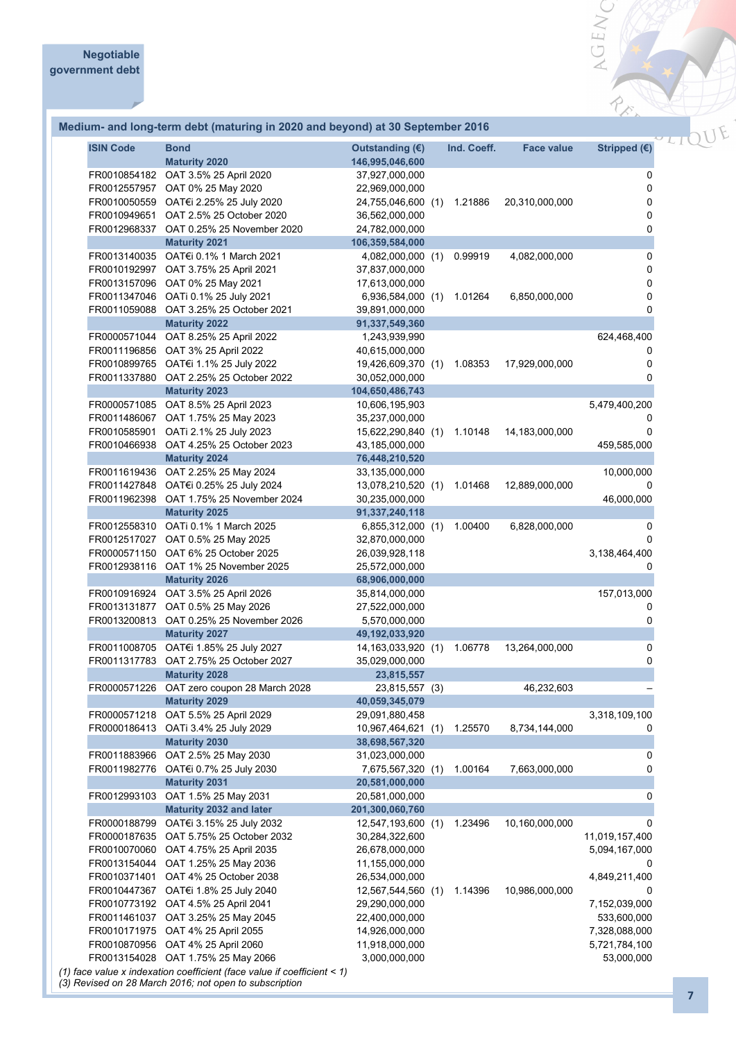## **Medium- and long-term debt (maturing in 2020 and beyond) at 30 September 2016**

| <b>ISIN Code</b> | <b>Bond</b><br><b>Maturity 2020</b>                                     | Outstanding $(E)$<br>146,995,046,600 |     | Ind. Coeff. | <b>Face value</b> | Stripped $(E)$ |
|------------------|-------------------------------------------------------------------------|--------------------------------------|-----|-------------|-------------------|----------------|
|                  | FR0010854182 OAT 3.5% 25 April 2020                                     | 37,927,000,000                       |     |             |                   | 0              |
|                  | FR0012557957 OAT 0% 25 May 2020                                         | 22,969,000,000                       |     |             |                   | 0              |
|                  | FR0010050559 OAT€i 2.25% 25 July 2020                                   | 24,755,046,600 (1)                   |     | 1.21886     | 20,310,000,000    | 0              |
|                  | FR0010949651 OAT 2.5% 25 October 2020                                   | 36,562,000,000                       |     |             |                   | 0              |
|                  | FR0012968337 OAT 0.25% 25 November 2020                                 | 24,782,000,000                       |     |             |                   | 0              |
|                  | <b>Maturity 2021</b>                                                    | 106,359,584,000                      |     |             |                   |                |
|                  | FR0013140035 OAT€i 0.1% 1 March 2021                                    | 4,082,000,000 (1)                    |     | 0.99919     | 4,082,000,000     | 0              |
|                  | FR0010192997 OAT 3.75% 25 April 2021                                    | 37,837,000,000                       |     |             |                   | 0              |
|                  | FR0013157096 OAT 0% 25 May 2021                                         | 17,613,000,000                       |     |             |                   | 0              |
|                  | FR0011347046 OATi 0.1% 25 July 2021                                     | 6,936,584,000 (1)                    |     | 1.01264     | 6,850,000,000     | 0              |
|                  | FR0011059088 OAT 3.25% 25 October 2021                                  | 39,891,000,000                       |     |             |                   | 0              |
|                  | <b>Maturity 2022</b>                                                    | 91,337,549,360                       |     |             |                   |                |
|                  | FR0000571044 OAT 8.25% 25 April 2022                                    | 1,243,939,990                        |     |             |                   | 624,468,400    |
|                  | FR0011196856 OAT 3% 25 April 2022                                       | 40,615,000,000                       |     |             |                   | 0              |
|                  | FR0010899765 OAT€i 1.1% 25 July 2022                                    | 19,426,609,370 (1)                   |     | 1.08353     | 17,929,000,000    | 0              |
|                  | FR0011337880 OAT 2.25% 25 October 2022                                  | 30,052,000,000                       |     |             |                   | $\Omega$       |
|                  | <b>Maturity 2023</b>                                                    | 104,650,486,743                      |     |             |                   |                |
|                  | FR0000571085 OAT 8.5% 25 April 2023                                     | 10,606,195,903                       |     |             |                   | 5,479,400,200  |
|                  | FR0011486067 OAT 1.75% 25 May 2023                                      | 35,237,000,000                       |     |             |                   | 0              |
|                  | FR0010585901 OATi 2.1% 25 July 2023                                     | 15,622,290,840 (1)                   |     | 1.10148     | 14,183,000,000    | 0              |
|                  | FR0010466938 OAT 4.25% 25 October 2023                                  | 43,185,000,000                       |     |             |                   | 459,585,000    |
|                  | <b>Maturity 2024</b>                                                    | 76,448,210,520                       |     |             |                   |                |
|                  | FR0011619436 OAT 2.25% 25 May 2024                                      | 33,135,000,000                       |     |             |                   | 10,000,000     |
|                  | FR0011427848 OAT€i 0.25% 25 July 2024                                   | 13,078,210,520 (1)                   |     | 1.01468     | 12,889,000,000    | 0              |
|                  | FR0011962398 OAT 1.75% 25 November 2024                                 | 30,235,000,000                       |     |             |                   | 46,000,000     |
|                  | <b>Maturity 2025</b>                                                    | 91,337,240,118                       |     |             |                   |                |
|                  | FR0012558310 OATi 0.1% 1 March 2025                                     | 6,855,312,000 (1)                    |     | 1.00400     | 6,828,000,000     | 0              |
|                  | FR0012517027 OAT 0.5% 25 May 2025                                       | 32,870,000,000                       |     |             |                   | $\Omega$       |
|                  | FR0000571150 OAT 6% 25 October 2025                                     | 26,039,928,118                       |     |             |                   | 3,138,464,400  |
|                  | FR0012938116 OAT 1% 25 November 2025                                    | 25,572,000,000                       |     |             |                   | 0              |
|                  | <b>Maturity 2026</b>                                                    | 68,906,000,000                       |     |             |                   |                |
|                  | FR0010916924 OAT 3.5% 25 April 2026                                     | 35,814,000,000                       |     |             |                   | 157,013,000    |
|                  | FR0013131877 OAT 0.5% 25 May 2026                                       | 27,522,000,000                       |     |             |                   | 0              |
|                  | FR0013200813 OAT 0.25% 25 November 2026                                 | 5,570,000,000                        |     |             |                   | 0              |
|                  | <b>Maturity 2027</b>                                                    | 49,192,033,920                       |     |             |                   |                |
|                  | FR0011008705 OAT€i 1.85% 25 July 2027                                   | 14, 163, 033, 920 (1)                |     | 1.06778     | 13,264,000,000    | 0              |
|                  | FR0011317783 OAT 2.75% 25 October 2027                                  | 35,029,000,000                       |     |             |                   | 0              |
|                  | <b>Maturity 2028</b>                                                    | 23,815,557                           |     |             |                   |                |
|                  | FR0000571226 OAT zero coupon 28 March 2028<br><b>Maturity 2029</b>      | 23,815,557 (3)<br>40,059,345,079     |     |             | 46,232,603        |                |
| FR0000571218     | OAT 5.5% 25 April 2029                                                  | 29,091,880,458                       |     |             |                   | 3,318,109,100  |
| FR0000186413     | OATi 3.4% 25 July 2029                                                  | 10,967,464,621 (1)                   |     | 1.25570     | 8,734,144,000     | 0              |
|                  | <b>Maturity 2030</b>                                                    | 38,698,567,320                       |     |             |                   |                |
| FR0011883966     | OAT 2.5% 25 May 2030                                                    | 31,023,000,000                       |     |             |                   | 0              |
| FR0011982776     | OAT€i 0.7% 25 July 2030                                                 | 7,675,567,320                        | (1) | 1.00164     | 7,663,000,000     | 0              |
|                  | <b>Maturity 2031</b>                                                    | 20,581,000,000                       |     |             |                   |                |
|                  | FR0012993103 OAT 1.5% 25 May 2031                                       | 20,581,000,000                       |     |             |                   | 0              |
|                  | Maturity 2032 and later                                                 | 201,300,060,760                      |     |             |                   |                |
| FR0000188799     | OAT€i 3.15% 25 July 2032                                                | 12,547,193,600                       | (1) | 1.23496     | 10,160,000,000    | 0              |
| FR0000187635     | OAT 5.75% 25 October 2032                                               | 30,284,322,600                       |     |             |                   | 11,019,157,400 |
| FR0010070060     | OAT 4.75% 25 April 2035                                                 | 26,678,000,000                       |     |             |                   | 5,094,167,000  |
| FR0013154044     | OAT 1.25% 25 May 2036                                                   | 11,155,000,000                       |     |             |                   | 0              |
| FR0010371401     | OAT 4% 25 October 2038                                                  | 26,534,000,000                       |     |             |                   | 4,849,211,400  |
| FR0010447367     | OAT€i 1.8% 25 July 2040                                                 | 12,567,544,560                       | (1) | 1.14396     | 10,986,000,000    | 0              |
|                  | FR0010773192 OAT 4.5% 25 April 2041                                     | 29,290,000,000                       |     |             |                   | 7,152,039,000  |
|                  | FR0011461037 OAT 3.25% 25 May 2045                                      | 22,400,000,000                       |     |             |                   | 533,600,000    |
|                  | FR0010171975 OAT 4% 25 April 2055                                       | 14,926,000,000                       |     |             |                   | 7,328,088,000  |
|                  | FR0010870956 OAT 4% 25 April 2060                                       | 11,918,000,000                       |     |             |                   | 5,721,784,100  |
|                  | FR0013154028 OAT 1.75% 25 May 2066                                      | 3,000,000,000                        |     |             |                   | 53,000,000     |
|                  | (1) face value x indexation coefficient (face value if coefficient < 1) |                                      |     |             |                   |                |
|                  | (3) Revised on 28 March 2016; not open to subscription                  |                                      |     |             |                   |                |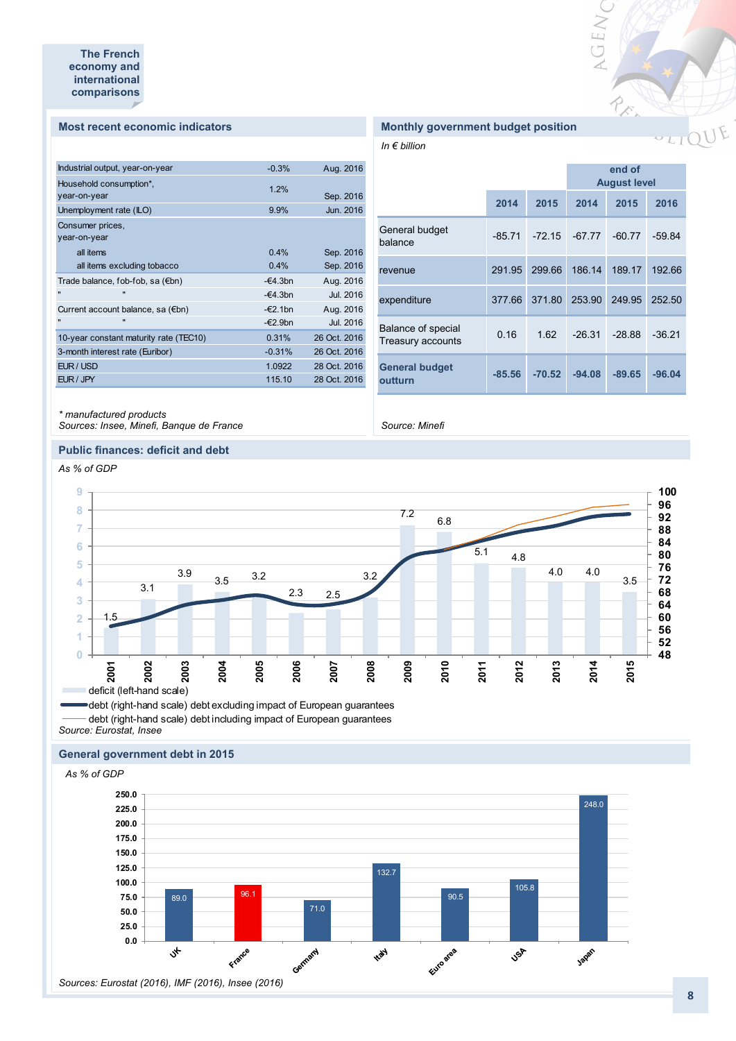#### **Most recent economic indicators**

| Industrial output, year-on-year             | $-0.3%$           | Aug. 2016        |
|---------------------------------------------|-------------------|------------------|
| Household consumption*,<br>year-on-year     | 1.2%              | Sep. 2016        |
| Unemployment rate (ILO)                     | 9.9%              | Jun. 2016        |
| Consumer prices,                            |                   |                  |
| year-on-year                                |                   |                  |
| all items                                   | 0.4%              | Sep. 2016        |
| all items excluding tobacco                 | 0.4%              | Sep. 2016        |
| Trade balance, fob-fob, sa (€bn)            | $-64.3bn$         | Aug. 2016        |
| Ħ<br>$\mathbf{u}$                           | $-64.3bn$         | <b>Jul. 2016</b> |
| Current account balance, sa $(\epsilon$ bn) | $-\epsilon$ 2.1bn | Aug. 2016        |
| $\blacksquare$<br>$\mathbf{u}$              | $-\epsilon$ 2.9bn | <b>Jul. 2016</b> |
| 10-year constant maturity rate (TEC10)      | 0.31%             | 26 Oct. 2016     |
| 3-month interest rate (Euribor)             | $-0.31%$          | 26 Oct. 2016     |
| EUR / USD                                   | 1.0922            | 28 Oct. 2016     |
| EUR / JPY                                   | 115.10            | 28 Oct. 2016     |
|                                             |                   |                  |

## **Monthly government budget position**

*In € billion*

|                                         |          |          | end of<br><b>August level</b> |          |          |
|-----------------------------------------|----------|----------|-------------------------------|----------|----------|
|                                         | 2014     | 2015     | 2014                          | 2015     | 2016     |
| General budget<br>balance               | $-85.71$ | $-72.15$ | $-67.77$                      | $-60.77$ | $-59.84$ |
| revenue                                 | 291.95   | 299.66   | 186.14                        | 189.17   | 192.66   |
| expenditure                             | 377.66   | 371.80   | 253.90                        | 249.95   | 252.50   |
| Balance of special<br>Treasury accounts | 0.16     | 1.62     | $-26.31$                      | $-28.88$ | $-36.21$ |
| <b>General budget</b><br>outturn        | $-85.56$ | $-70.52$ | $-94.08$                      | $-89.65$ | $-96.04$ |

VGENC

REA

*Source: Minefi*

#### *\* manufactured products*

*Sources: Insee, Minefi, Banque de France*

#### **Public finances: deficit and debt**

*As % of GDP*



*Source: Eurostat, Insee* debt (right-hand scale) debt excluding impact of European guarantees - debt (right-hand scale) debt including impact of European guarantees

#### **General government debt in 2015**

*As % of GDP*